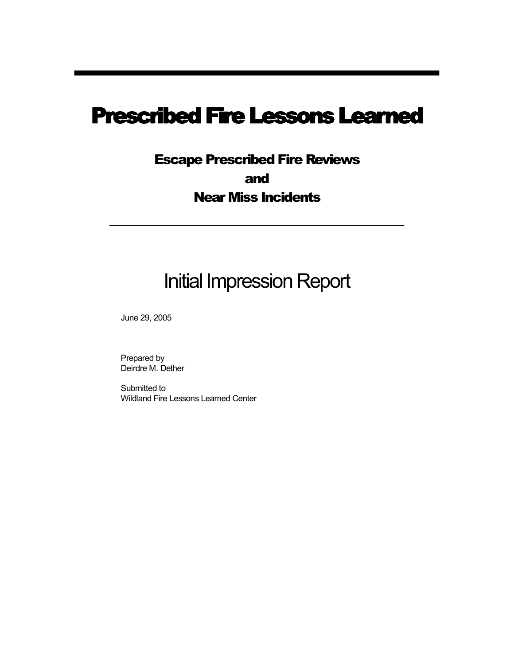# Prescribed Fire Lessons Learned

## Escape Prescribed Fire Reviews and Near Miss Incidents

# Initial Impression Report

June 29, 2005

Prepared by Deirdre M. Dether

Submitted to Wildland Fire Lessons Learned Center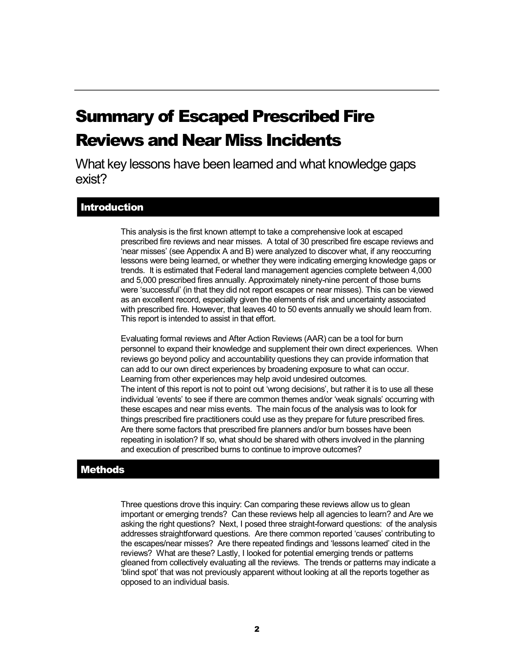## Summary of Escaped Prescribed Fire Reviews and Near Miss Incidents

What key lessons have been learned and what knowledge gaps exist?

## **Introduction**

This analysis is the first known attempt to take a comprehensive look at escaped prescribed fire reviews and near misses. A total of 30 prescribed fire escape reviews and 'near misses' (see Appendix A and B) were analyzed to discover what, if any reoccurring lessons were being learned, or whether they were indicating emerging knowledge gaps or trends. It is estimated that Federal land management agencies complete between 4,000 and 5,000 prescribed fires annually. Approximately ninety-nine percent of those burns were 'successful' (in that they did not report escapes or near misses). This can be viewed as an excellent record, especially given the elements of risk and uncertainty associated with prescribed fire. However, that leaves 40 to 50 events annually we should learn from. This report is intended to assist in that effort.

Evaluating formal reviews and After Action Reviews (AAR) can be a tool for burn personnel to expand their knowledge and supplement their own direct experiences. When reviews go beyond policy and accountability questions they can provide information that can add to our own direct experiences by broadening exposure to what can occur. Learning from other experiences may help avoid undesired outcomes. The intent of this report is not to point out 'wrong decisions', but rather it is to use all these individual 'events' to see if there are common themes and/or 'weak signals' occurring with these escapes and near miss events. The main focus of the analysis was to look for things prescribed fire practitioners could use as they prepare for future prescribed fires. Are there some factors that prescribed fire planners and/or burn bosses have been repeating in isolation? If so, what should be shared with others involved in the planning and execution of prescribed burns to continue to improve outcomes?

### **Methods**

Three questions drove this inquiry: Can comparing these reviews allow us to glean important or emerging trends? Can these reviews help all agencies to learn? and Are we asking the right questions? Next, I posed three straight-forward questions: of the analysis addresses straightforward questions. Are there common reported 'causes' contributing to the escapes/near misses? Are there repeated findings and 'lessons learned' cited in the reviews? What are these? Lastly, I looked for potential emerging trends or patterns gleaned from collectively evaluating all the reviews. The trends or patterns may indicate a 'blind spot' that was not previously apparent without looking at all the reports together as opposed to an individual basis.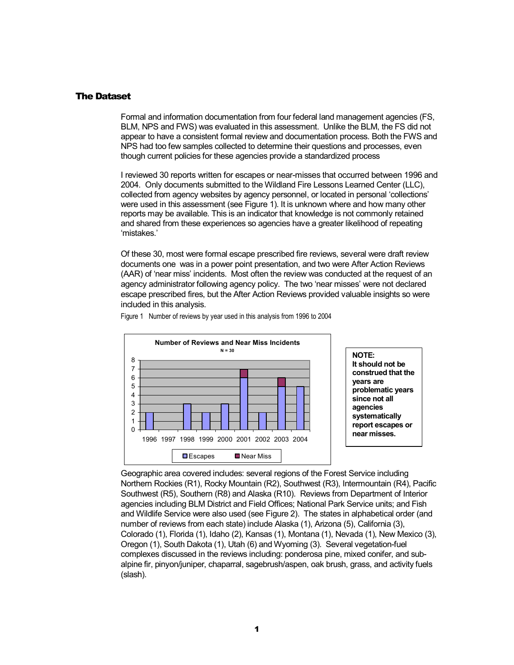#### The Dataset

Formal and information documentation from four federal land management agencies (FS, BLM, NPS and FWS) was evaluated in this assessment. Unlike the BLM, the FS did not appear to have a consistent formal review and documentation process. Both the FWS and NPS had too few samples collected to determine their questions and processes, even though current policies for these agencies provide a standardized process

I reviewed 30 reports written for escapes or near-misses that occurred between 1996 and 2004. Only documents submitted to the Wildland Fire Lessons Learned Center (LLC), collected from agency websites by agency personnel, or located in personal 'collections' were used in this assessment (see Figure 1). It is unknown where and how many other reports may be available. This is an indicator that knowledge is not commonly retained and shared from these experiences so agencies have a greater likelihood of repeating 'mistakes.'

Of these 30, most were formal escape prescribed fire reviews, several were draft review documents one was in a power point presentation, and two were After Action Reviews (AAR) of 'near miss' incidents. Most often the review was conducted at the request of an agency administrator following agency policy. The two 'near misses' were not declared escape prescribed fires, but the After Action Reviews provided valuable insights so were included in this analysis.



Figure 1 Number of reviews by year used in this analysis from 1996 to 2004

Geographic area covered includes: several regions of the Forest Service including Northern Rockies (R1), Rocky Mountain (R2), Southwest (R3), Intermountain (R4), Pacific Southwest (R5), Southern (R8) and Alaska (R10). Reviews from Department of Interior agencies including BLM District and Field Offices; National Park Service units; and Fish and Wildlife Service were also used (see Figure 2). The states in alphabetical order (and number of reviews from each state) include Alaska (1), Arizona (5), California (3), Colorado (1), Florida (1), Idaho (2), Kansas (1), Montana (1), Nevada (1), New Mexico (3), Oregon (1), South Dakota (1), Utah (6) and Wyoming (3). Several vegetation-fuel complexes discussed in the reviews including: ponderosa pine, mixed conifer, and sub alpine fir, pinyon/juniper, chaparral, sagebrush/aspen, oak brush, grass, and activity fuels (slash).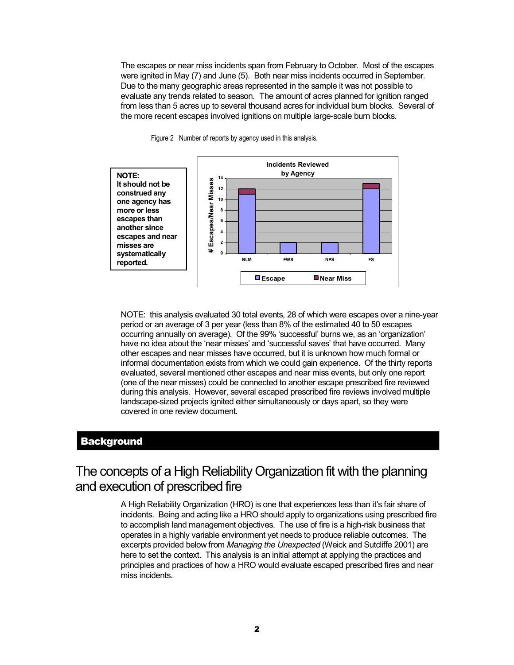The escapes or near miss incidents span from February to October. Most of the escapes were ignited in May (7) and June (5). Both near miss incidents occurred in September. Due to the many geographic areas represented in the sample it was not possible to evaluate any trends related to season. The amount of acres planned for ignition ranged from less than 5 acres up to several thousand acres for individual burn blocks. Several of the more recent escapes involved ignitions on multiple large-scale burn blocks.



Figure 2 Number of reports by agency used in this analysis.

NOTE: this analysis evaluated 30 total events, 28 of which were escapes over a nineyear period or an average of 3 per year (less than 8% of the estimated 40 to 50 escapes occurring annually on average). Of the 99% 'successful' burns we, as an 'organization' have no idea about the 'near misses' and 'successful saves' that have occurred. Many other escapes and near misses have occurred, but it is unknown how much formal or informal documentation exists from which we could gain experience. Of the thirty reports evaluated, several mentioned other escapes and near miss events, but only one report (one of the near misses) could be connected to another escape prescribed fire reviewed during this analysis. However, several escaped prescribed fire reviews involved multiple landscape-sized projects ignited either simultaneously or days apart, so they were covered in one review document.

#### **Background**

## The concepts of a High Reliability Organization fit with the planning and execution of prescribed fire

A High Reliability Organization (HRO) is one that experiences less than it's fair share of incidents. Being and acting like a HRO should apply to organizations using prescribed fire to accomplish land management objectives. The use of fire is a high-risk business that operates in a highly variable environment yet needs to produce reliable outcomes. The excerpts provided below from *Managing the Unexpected* (Weick and Sutcliffe 2001) are here to set the context. This analysis is an initial attempt at applying the practices and principles and practices of how a HRO would evaluate escaped prescribed fires and near miss incidents.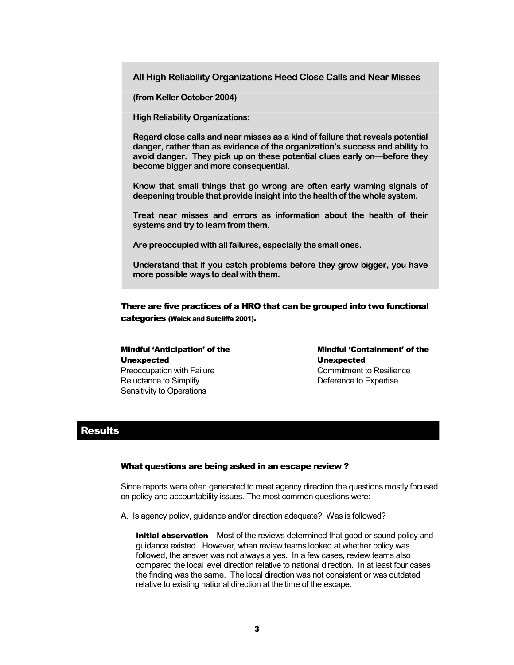**All High Reliability Organizations Heed Close Calls and Near Misses** 

**(from Keller October 2004)** 

**High Reliability Organizations:** 

**Regard close calls and near misses as a kind of failure that reveals potential danger, rather than as evidence of the organization's success and ability to avoid danger. They pick up on these potential clues early on—before they become bigger and more consequential.** 

**Know that small things that go wrong are often early warning signals of deepening trouble that provide insight into the health of the whole system.** 

**Treat near misses and errors as information about the health of their systems and try to learn from them.** 

Are preoccupied with all failures, especially the small ones.<br>Understand that if you catch problems before they grow bigger, you have **more possible ways to deal with them.** 

There are five practices of a HRO that can be grouped into two functional categories (Weick and Sutcliffe 2001).

Mindful 'Anticipation' of the Unexpected Preoccupation with Failure Reluctance to Simplify Sensitivity to Operations

Mindful 'Containment' of the Unexpected Commitment to Resilience Deference to Expertise

#### **Results**

#### What questions are being asked in an escape review ?

Since reports were often generated to meet agency direction the questions mostly focused on policy and accountability issues. The most common questions were:

A. Is agency policy, guidance and/or direction adequate? Was is followed?

**Initial observation** – Most of the reviews determined that good or sound policy and guidance existed. However, when review teams looked at whether policy was followed, the answer was not always a yes. In a few cases, review teams also compared the local level direction relative to national direction. In at least four cases the finding was the same. The local direction was not consistent or was outdated relative to existing national direction at the time of the escape.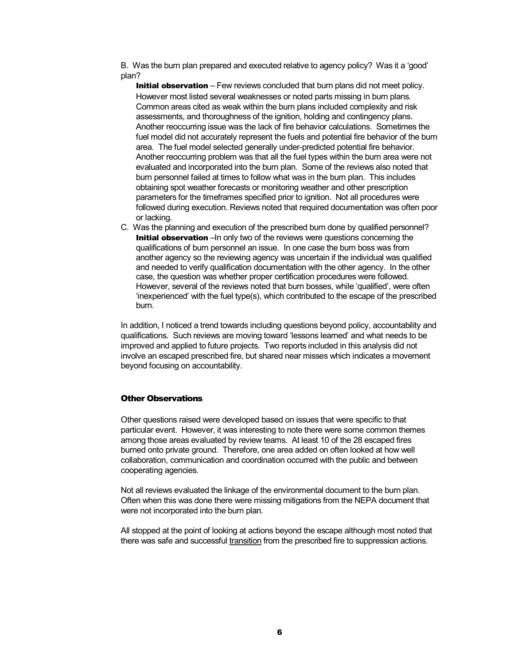B. Was the burn plan prepared and executed relative to agency policy? Was it a 'good' plan?

**Initial observation** – Few reviews concluded that burn plans did not meet policy. However most listed several weaknesses or noted parts missing in burn plans. Common areas cited as weak within the burn plans included complexity and risk assessments, and thoroughness of the ignition, holding and contingency plans. Another reoccurring issue was the lack of fire behavior calculations. Sometimes the fuel model did not accurately represent the fuels and potential fire behavior of the burn area. The fuel model selected generally under-predicted potential fire behavior. Another reoccurring problem was that all the fuel types within the burn area were not evaluated and incorporated into the burn plan. Some of the reviews also noted that burn personnel failed at times to follow what was in the burn plan. This includes obtaining spot weather forecasts or monitoring weather and other prescription parameters for the timeframes specified prior to ignition. Not all procedures were followed during execution. Reviews noted that required documentation was often poor or lacking.

C. Was the planning and execution of the prescribed burn done by qualified personnel? Initial observation –In only two of the reviews were questions concerning the qualifications of burn personnel an issue. In one case the burn boss was from another agency so the reviewing agency was uncertain if the individual was qualified and needed to verify qualification documentation with the other agency. In the other case, the question was whether proper certification procedures were followed. However, several of the reviews noted that burn bosses, while 'qualified', were often 'inexperienced' with the fuel type(s), which contributed to the escape of the prescribed burn.

In addition, I noticed a trend towards including questions beyond policy, accountability and qualifications. Such reviews are moving toward 'lessons learned' and what needs to be improved and applied to future projects. Two reports included in this analysis did not involve an escaped prescribed fire, but shared near misses which indicates a movement beyond focusing on accountability.

#### Other Observations

Other questions raised were developed based on issues that were specific to that particular event. However, it was interesting to note there were some common themes among those areas evaluated by review teams. At least 10 of the 28 escaped fires burned onto private ground. Therefore, one area added on often looked at how well collaboration, communication and coordination occurred with the public and between cooperating agencies.

Not all reviews evaluated the linkage of the environmental document to the burn plan. Often when this was done there were missing mitigations from the NEPA document that were not incorporated into the burn plan.

All stopped at the point of looking at actions beyond the escape although most noted that there was safe and successful transition from the prescribed fire to suppression actions.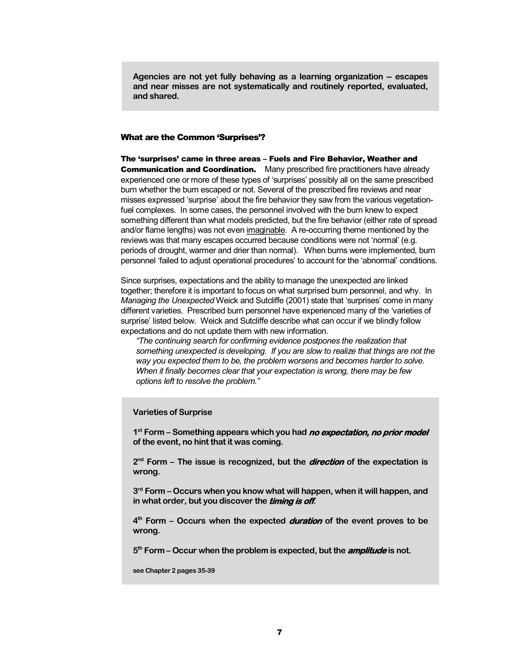**Agencies are not yet fully behaving as a learning organization escapes and near misses are not systematically and routinely reported, evaluated, and shared.** 

#### What are the Common 'Surprises'?

The 'surprises' came in three areas – Fuels and Fire Behavior, Weather and **Communication and Coordination.** Many prescribed fire practitioners have already experienced one or more of these types of 'surprises' possibly all on the same prescribed burn whether the burn escaped or not. Several of the prescribed fire reviews and near misses expressed 'surprise' about the fire behavior they saw from the various vegetation fuel complexes. In some cases, the personnel involved with the burn knew to expect something different than what models predicted, but the fire behavior (either rate of spread and/or flame lengths) was not even imaginable. A re-occurring theme mentioned by the reviews was that many escapes occurred because conditions were not 'normal' (e.g. periods of drought, warmer and drier than normal). When burns were implemented, burn personnel 'failed to adjust operational procedures' to account for the 'abnormal' conditions.

Since surprises, expectations and the ability to manage the unexpected are linked together; therefore it is important to focus on what surprised burn personnel, and why. In *Managing the Unexpected* Weick and Sutcliffe (2001) state that 'surprises' come in many different varieties. Prescribed burn personnel have experienced many of the 'varieties of surprise' listed below. Weick and Sutcliffe describe what can occur if we blindly follow expectations and do not update them with new information.

*"The continuing search for confirming evidence postpones the realization that something unexpected is developing. If you are slow to realize that things are not the way you expected them to be, the problem worsens and becomes harder to solve. When it finally becomes clear that your expectation is wrong, there may be few options left to resolve the problem."*

#### **Varieties of Surprise**

**1 st Form – Something appears which you had no expectation, no prior model of the event, no hint that it was coming.** 

**2 nd Form – The issue is recognized, but the direction of the expectation is wrong.** 

**3 rd Form – Occurs when you know what will happen, when itwill happen, and in** what order, but you discover the *timing is off.* 

**4 th Form – Occurs when the expected duration of the event proves to be wrong.** 

**5 th Form – Occur when the problem is expected, but the amplitude is not.** 

**see Chapter 2 pages 3539**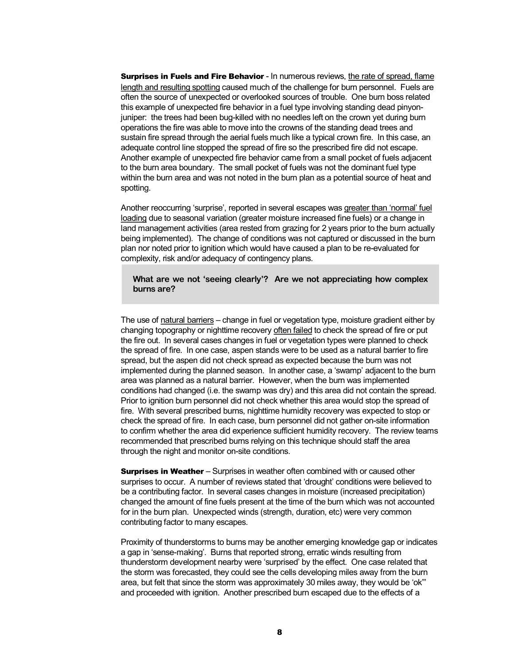**Surprises in Fuels and Fire Behavior** - In numerous reviews, the rate of spread, flame length and resulting spotting caused much of the challenge for burn personnel. Fuels are often the source of unexpected or overlooked sources of trouble. One burn boss related this example of unexpected fire behavior in a fuel type involving standing dead pinyon juniper: the trees had been bug-killed with no needles left on the crown yet during burn operations the fire was able to move into the crowns of the standing dead trees and sustain fire spread through the aerial fuels much like a typical crown fire. In this case, an adequate control line stopped the spread of fire so the prescribed fire did not escape. Another example of unexpected fire behavior came from a small pocket of fuels adjacent to the burn area boundary. The small pocket of fuels was not the dominant fuel type within the burn area and was not noted in the burn plan as a potential source of heat and spotting.

Another reoccurring 'surprise', reported in several escapes was greater than 'normal' fuel loading due to seasonal variation (greater moisture increased fine fuels) or a change in land management activities (area rested from grazing for 2 years prior to the burn actually being implemented). The change of conditions was not captured or discussed in the burn plan nor noted prior to ignition which would have caused a plan to be re-evaluated for complexity, risk and/or adequacy of contingency plans.

#### **What are we not 'seeing clearly'? Are we not appreciating how complex burns are?**

The use of natural barriers – change in fuel or vegetation type, moisture gradient either by changing topography or nighttime recovery often failed to check the spread of fire or put the fire out. In several cases changes in fuel or vegetation types were planned to check the spread of fire. In one case, aspen stands were to be used as a natural barrier to fire spread, but the aspen did not check spread as expected because the burn was not implemented during the planned season. In another case, a 'swamp' adjacent to the burn area was planned as a natural barrier. However, when the burn was implemented conditions had changed (i.e. the swamp was dry) and this area did not contain the spread. Prior to ignition burn personnel did not check whether this area would stop the spread of fire. With several prescribed burns, nighttime humidity recovery was expected to stop or check the spread of fire. In each case, burn personnel did not gather onsite information to confirm whether the area did experience sufficient humidity recovery. The review teams recommended that prescribed burns relying on this technique should staff the area through the night and monitor on-site conditions.

**Surprises in Weather** – Surprises in weather often combined with or caused other surprises to occur. A number of reviews stated that 'drought' conditions were believed to be a contributing factor. In several cases changes in moisture (increased precipitation) changed the amount of fine fuels present at the time of the burn which was not accounted for in the burn plan. Unexpected winds (strength, duration, etc) were very common contributing factor to many escapes.

Proximity of thunderstorms to burns may be another emerging knowledge gap or indicates a gap in 'sense-making'. Burns that reported strong, erratic winds resulting from thunderstorm development nearby were 'surprised' by the effect. One case related that the storm was forecasted, they could see the cells developing miles away from the burn area, but felt that since the storm was approximately 30 miles away, they would be 'ok"' and proceeded with ignition. Another prescribed burn escaped due to the effects of a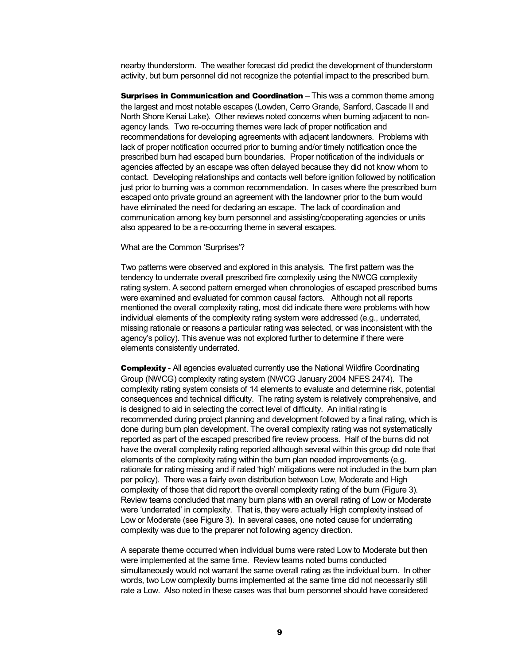nearby thunderstorm. The weather forecast did predict the development of thunderstorm activity, but burn personnel did not recognize the potential impact to the prescribed burn.

Surprises in Communication and Coordination - This was a common theme among the largest and most notable escapes (Lowden, Cerro Grande, Sanford, Cascade II and North Shore Kenai Lake). Other reviews noted concerns when burning adjacent to non agency lands. Two re-occurring themes were lack of proper notification and recommendations for developing agreements with adjacent landowners. Problems with lack of proper notification occurred prior to burning and/or timely notification once the prescribed burn had escaped burn boundaries. Proper notification of the individuals or agencies affected by an escape was often delayed because they did not know whom to contact. Developing relationships and contacts well before ignition followed by notification just prior to burning was a common recommendation. In cases where the prescribed burn escaped onto private ground an agreement with the landowner prior to the burn would have eliminated the need for declaring an escape. The lack of coordination and communication among key burn personnel and assisting/cooperating agencies or units also appeared to be a re-occurring theme in several escapes.

#### What are the Common 'Surprises'?

Two patterns were observed and explored in this analysis. The first pattern was the tendency to underrate overall prescribed fire complexity using the NWCG complexity rating system. A second pattern emerged when chronologies of escaped prescribed burns were examined and evaluated for common causal factors. Although not all reports mentioned the overall complexity rating, most did indicate there were problems with how individual elements of the complexity rating system were addressed (e.g., underrated, missing rationale or reasons a particular rating was selected, or was inconsistent with the agency's policy). This avenue was not explored further to determine if there were elements consistently underrated.

**Complexity** - All agencies evaluated currently use the National Wildfire Coordinating Group (NWCG) complexity rating system (NWCG January 2004 NFES 2474). The complexity rating system consists of 14 elements to evaluate and determine risk, potential consequences and technical difficulty. The rating system is relatively comprehensive, and is designed to aid in selecting the correct level of difficulty. An initial rating is recommended during project planning and development followed by a final rating, which is done during burn plan development. The overall complexity rating was not systematically reported as part of the escaped prescribed fire review process. Half of the burns did not have the overall complexity rating reported although several within this group did note that elements of the complexity rating within the burn plan needed improvements (e.g. rationale for rating missing and if rated 'high' mitigations were not included in the burn plan per policy). There was a fairly even distribution between Low, Moderate and High complexity of those that did report the overall complexity rating of the burn (Figure 3). Review teams concluded that many burn plans with an overall rating of Low or Moderate were 'underrated' in complexity. That is, they were actually High complexity instead of Low or Moderate (see Figure 3). In several cases, one noted cause for underrating complexity was due to the preparer not following agency direction.

A separate theme occurred when individual burns were rated Low to Moderate but then were implemented at the same time. Review teams noted burns conducted simultaneously would not warrant the same overall rating as the individual burn. In other words, two Low complexity burns implemented at the same time did not necessarily still rate a Low. Also noted in these cases was that burn personnel should have considered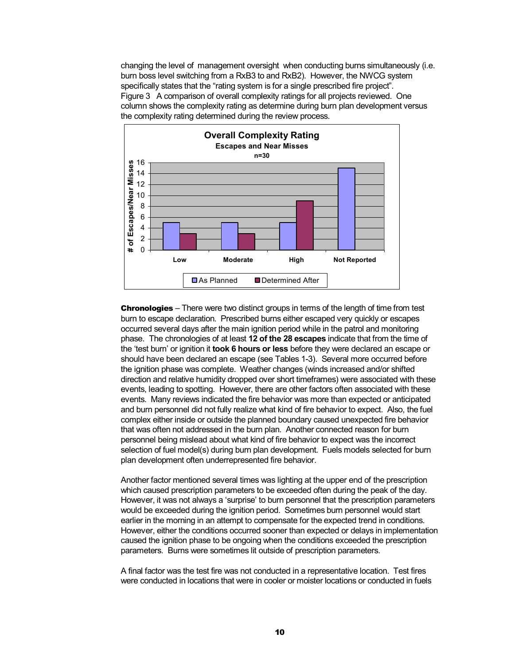changing the level of management oversight when conducting burns simultaneously (i.e. burn boss level switching from a RxB3 to and RxB2). However, the NWCG system specifically states that the "rating system is for a single prescribed fire project". Figure 3 A comparison of overall complexity ratings for all projects reviewed. One column shows the complexity rating as determine during burn plan development versus the complexity rating determined during the review process.



**Chronologies** – There were two distinct groups in terms of the length of time from test burn to escape declaration. Prescribed burns either escaped very quickly or escapes occurred several days after the main ignition period while in the patrol and monitoring phase. The chronologies of at least **12 of the 28 escapes** indicate that from the time of the 'test burn' or ignition it **took 6 hours or less** before they were declared an escape or should have been declared an escape (see Tables 1-3). Several more occurred before the ignition phase was complete. Weather changes (winds increased and/or shifted direction and relative humidity dropped over short timeframes) were associated with these events, leading to spotting. However, there are other factors often associated with these events. Many reviews indicated the fire behavior was more than expected or anticipated and burn personnel did not fully realize what kind of fire behavior to expect. Also, the fuel complex either inside or outside the planned boundary caused unexpected fire behavior that was often not addressed in the burn plan. Another connected reason for burn personnel being mislead about what kind of fire behavior to expect was the incorrect selection of fuel model(s) during burn plan development. Fuels models selected for burn plan development often underrepresented fire behavior.

Another factor mentioned several times was lighting at the upper end of the prescription which caused prescription parameters to be exceeded often during the peak of the day. However, it was not always a 'surprise' to burn personnel that the prescription parameters would be exceeded during the ignition period. Sometimes burn personnel would start earlier in the morning in an attempt to compensate for the expected trend in conditions. However, either the conditions occurred sooner than expected or delays in implementation caused the ignition phase to be ongoing when the conditions exceeded the prescription parameters. Burns were sometimes lit outside of prescription parameters.

A final factor was the test fire was not conducted in a representative location. Test fires were conducted in locations that were in cooler or moister locations or conducted in fuels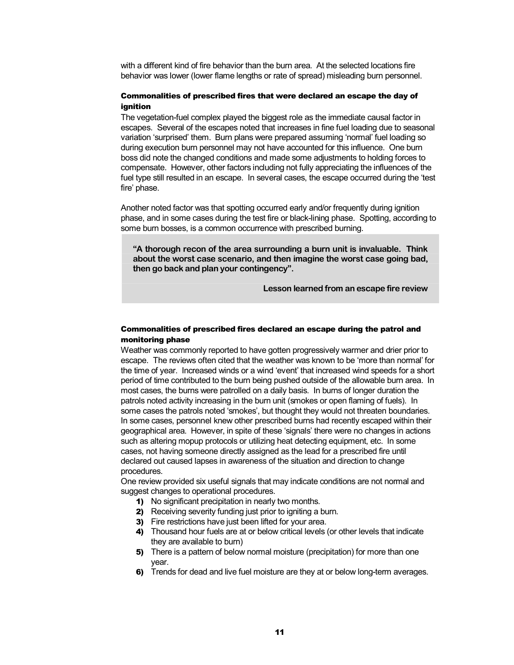with a different kind of fire behavior than the burn area. At the selected locations fire behavior was lower (lower flame lengths or rate of spread) misleading burn personnel.

#### Commonalities of prescribed fires that were declared an escape the day of ignition

The vegetation-fuel complex played the biggest role as the immediate causal factor in escapes. Several of the escapes noted that increases in fine fuel loading due to seasonal variation 'surprised' them. Burn plans were prepared assuming 'normal' fuel loading so during execution burn personnel may not have accounted for this influence. One burn boss did note the changed conditions and made some adjustments to holding forces to compensate. However, other factors including not fully appreciating the influences of the fuel type still resulted in an escape. In several cases, the escape occurred during the 'test fire' phase.

Another noted factor was that spotting occurred early and/or frequently during ignition phase, and in some cases during the test fire or black-lining phase. Spotting, according to some burn bosses, is a common occurrence with prescribed burning.

**"A thorough recon of the area surrounding a burn unit is invaluable. Think about the worst case scenario, and then imagine the worst case going bad, then go back and plan your contingency".** 

**Lesson learned from an escape fire review** 

#### Commonalities of prescribed fires declared an escape during the patrol and monitoring phase

Weather was commonly reported to have gotten progressively warmer and drier prior to escape. The reviews often cited that the weather was known to be 'more than normal' for the time of year. Increased winds or a wind 'event' that increased wind speeds for a short period of time contributed to the burn being pushed outside of the allowable burn area. In most cases, the burns were patrolled on a daily basis. In burns of longer duration the patrols noted activity increasing in the burn unit (smokes or open flaming of fuels). In some cases the patrols noted 'smokes', but thought they would not threaten boundaries. In some cases, personnel knew other prescribed burns had recently escaped within their geographical area. However, in spite of these 'signals' there were no changes in actions such as altering mopup protocols or utilizing heat detecting equipment, etc. In some cases, not having someone directly assigned as the lead for a prescribed fire until declared out caused lapses in awareness of the situation and direction to change procedures.

One review provided six useful signals that may indicate conditions are not normal and suggest changes to operational procedures.

- 1) No significant precipitation in nearly two months.
- 2) Receiving severity funding just prior to igniting a burn.
- 3) Fire restrictions have just been lifted for your area.
- 4) Thousand hour fuels are at or below critical levels (or other levels that indicate they are available to burn)
- 5) There is a pattern of below normal moisture (precipitation) for more than one year.
- 6) Trends for dead and live fuel moisture are they at or below long-term averages.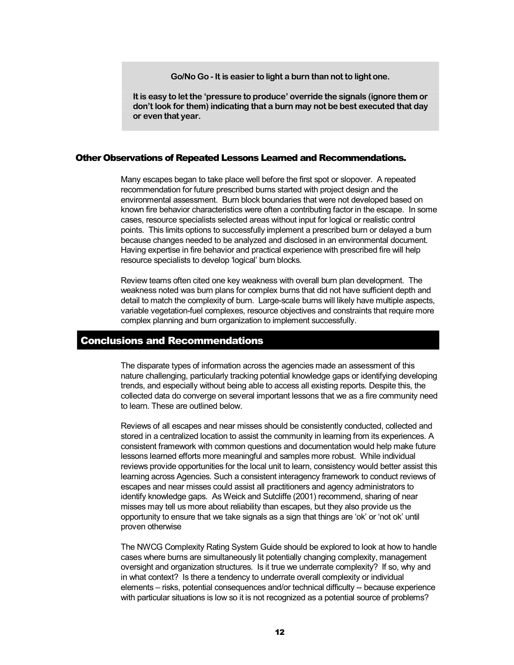**Go/No Go It is easier to light a burn than not to light one.** 

**It is easy to let the 'pressure to produce' override the signals (ignore them or don't look for them) indicating that a burn may not be best executed that day or even that year.** 

#### Other Observations of Repeated Lessons Learned and Recommendations.

Many escapes began to take place well before the first spot or slopover. A repeated recommendation for future prescribed burns started with project design and the environmental assessment. Burn block boundaries that were not developed based on known fire behavior characteristics were often a contributing factor in the escape. In some cases, resource specialists selected areas without input for logical or realistic control points. This limits options to successfully implement a prescribed burn or delayed a burn because changes needed to be analyzed and disclosed in an environmental document. Having expertise in fire behavior and practical experience with prescribed fire will help resource specialists to develop 'logical' burn blocks.

Review teams often cited one key weakness with overall burn plan development. The weakness noted was burn plans for complex burns that did not have sufficient depth and detail to match the complexity of burn. Large-scale burns will likely have multiple aspects, variable vegetation-fuel complexes, resource objectives and constraints that require more complex planning and burn organization to implement successfully.

#### Conclusions and Recommendations

The disparate types of information across the agencies made an assessment of this nature challenging, particularly tracking potential knowledge gaps or identifying developing trends, and especially without being able to access all existing reports. Despite this, the collected data do converge on several important lessons that we as a fire community need to learn. These are outlined below.

Reviews of all escapes and near misses should be consistently conducted, collected and stored in a centralized location to assist the community in learning from its experiences. A consistent framework with common questions and documentation would help make future lessons learned efforts more meaningful and samples more robust. While individual reviews provide opportunities for the local unit to learn, consistency would better assist this learning across Agencies. Such a consistent interagency framework to conduct reviews of escapes and near misses could assist all practitioners and agency administrators to identify knowledge gaps. As Weick and Sutcliffe (2001) recommend, sharing of near misses may tell us more about reliability than escapes, but they also provide us the opportunity to ensure that we take signals as a sign that things are 'ok' or 'not ok' until proven otherwise

The NWCG Complexity Rating System Guide should be explored to look at how to handle cases where burns are simultaneously lit potentially changing complexity, management oversight and organization structures. Is it true we underrate complexity? If so, why and in what context? Is there a tendency to underrate overall complexity or individual elements – risks, potential consequences and/or technical difficulty -- because experience with particular situations is low so it is not recognized as a potential source of problems?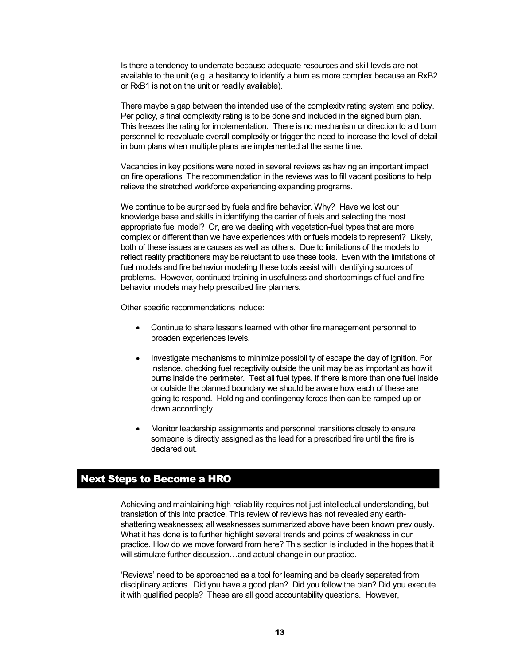Is there a tendency to underrate because adequate resources and skill levels are not available to the unit (e.g. a hesitancy to identify a burn as more complex because an RxB2 or RxB1 is not on the unit or readily available).

There maybe a gap between the intended use of the complexity rating system and policy. Per policy, a final complexity rating is to be done and included in the signed burn plan. This freezes the rating for implementation. There is no mechanism or direction to aid burn personnel to reevaluate overall complexity or trigger the need to increase the level of detail in burn plans when multiple plans are implemented at the same time.

Vacancies in key positions were noted in several reviews as having an important impact on fire operations. The recommendation in the reviews was to fill vacant positions to help relieve the stretched workforce experiencing expanding programs.

We continue to be surprised by fuels and fire behavior. Why? Have we lost our knowledge base and skills in identifying the carrier of fuels and selecting the most appropriate fuel model? Or, are we dealing with vegetation-fuel types that are more complex or different than we have experiences with or fuels models to represent? Likely, both of these issues are causes as well as others. Due to limitations of the models to reflect reality practitioners may be reluctant to use these tools. Even with the limitations of fuel models and fire behavior modeling these tools assist with identifying sources of problems. However, continued training in usefulness and shortcomings of fuel and fire behavior models may help prescribed fire planners.

Other specific recommendations include:

- · Continue to share lessons learned with other fire management personnel to broaden experiences levels.
- · Investigate mechanisms to minimize possibility of escape the day of ignition. For instance, checking fuel receptivity outside the unit may be as important as how it burns inside the perimeter. Test all fuel types. If there is more than one fuel inside or outside the planned boundary we should be aware how each of these are going to respond. Holding and contingency forces then can be ramped up or down accordingly.
- · Monitor leadership assignments and personnel transitions closely to ensure someone is directly assigned as the lead for a prescribed fire until the fire is declared out.

### Next Steps to Become a HRO

Achieving and maintaining high reliability requires not just intellectual understanding, but translation of this into practice. This review of reviews has not revealed any earth shattering weaknesses; all weaknesses summarized above have been known previously. What it has done is to further highlight several trends and points of weakness in our practice. How do we move forward from here? This section is included in the hopes that it will stimulate further discussion...and actual change in our practice.

'Reviews' need to be approached as a tool for learning and be clearly separated from disciplinary actions. Did you have a good plan? Did you follow the plan? Did you execute it with qualified people? These are all good accountability questions. However,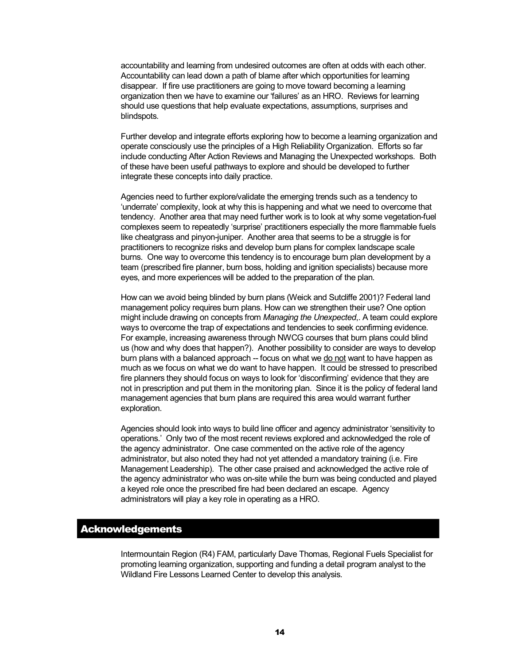accountability and learning from undesired outcomes are often at odds with each other. Accountability can lead down a path of blame after which opportunities for learning disappear. If fire use practitioners are going to move toward becoming a learning organization then we have to examine our 'failures' as an HRO. Reviews for learning should use questions that help evaluate expectations, assumptions, surprises and blindspots.

Further develop and integrate efforts exploring how to become a learning organization and operate consciously use the principles of a High Reliability Organization. Efforts so far include conducting After Action Reviews and Managing the Unexpected workshops. Both of these have been useful pathways to explore and should be developed to further integrate these concepts into daily practice.

Agencies need to further explore/validate the emerging trends such as a tendency to 'underrate' complexity, look at why this is happening and what we need to overcome that tendency. Another area that may need further work is to look at why some vegetation-fuel complexes seem to repeatedly 'surprise' practitioners especially the more flammable fuels like cheatgrass and pinyon-juniper. Another area that seems to be a struggle is for practitioners to recognize risks and develop burn plans for complex landscape scale burns. One way to overcome this tendency is to encourage burn plan development by a team (prescribed fire planner, burn boss, holding and ignition specialists) because more eyes, and more experiences will be added to the preparation of the plan.

How can we avoid being blinded by burn plans (Weick and Sutcliffe 2001)? Federal land management policy requires burn plans. How can we strengthen their use? One option might include drawing on concepts from *Managing the Unexpected*,. A team could explore ways to overcome the trap of expectations and tendencies to seek confirming evidence. For example, increasing awareness through NWCG courses that burn plans could blind us (how and why does that happen?). Another possibility to consider are ways to develop burn plans with a balanced approach -- focus on what we do not want to have happen as much as we focus on what we do want to have happen. It could be stressed to prescribed fire planners they should focus on ways to look for 'disconfirming' evidence that they are not in prescription and put them in the monitoring plan. Since it is the policy of federal land management agencies that burn plans are required this area would warrant further exploration.

Agencies should look into ways to build line officer and agency administrator 'sensitivity to operations.' Only two of the most recent reviews explored and acknowledged the role of the agency administrator. One case commented on the active role of the agency administrator, but also noted they had not yet attended a mandatory training (i.e. Fire Management Leadership). The other case praised and acknowledged the active role of the agency administrator who was on-site while the burn was being conducted and played a keyed role once the prescribed fire had been declared an escape. Agency administrators will play a key role in operating as a HRO.

#### Acknowledgements

Intermountain Region (R4) FAM, particularly Dave Thomas, Regional Fuels Specialist for promoting learning organization, supporting and funding a detail program analyst to the Wildland Fire Lessons Learned Center to develop this analysis.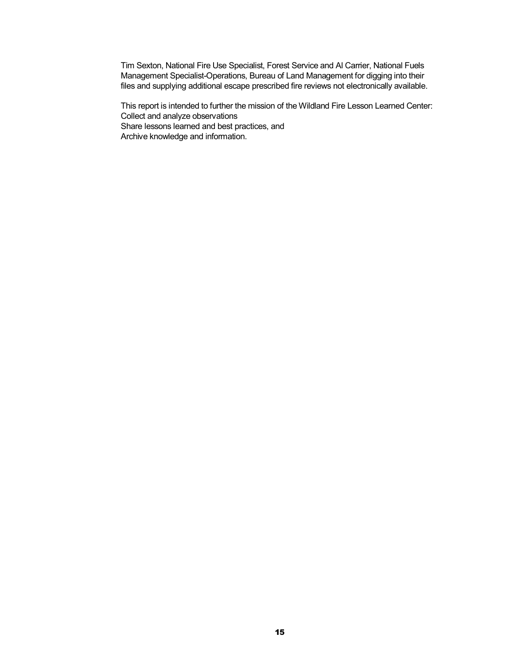Tim Sexton, National Fire Use Specialist, Forest Service and AlCarrier, National Fuels Management Specialist-Operations, Bureau of Land Management for digging into their files and supplying additional escape prescribed fire reviews not electronically available.

This report is intended to further the mission of the Wildland Fire Lesson Learned Center: Collect and analyze observations Share lessons learned and best practices, and Archive knowledge and information.